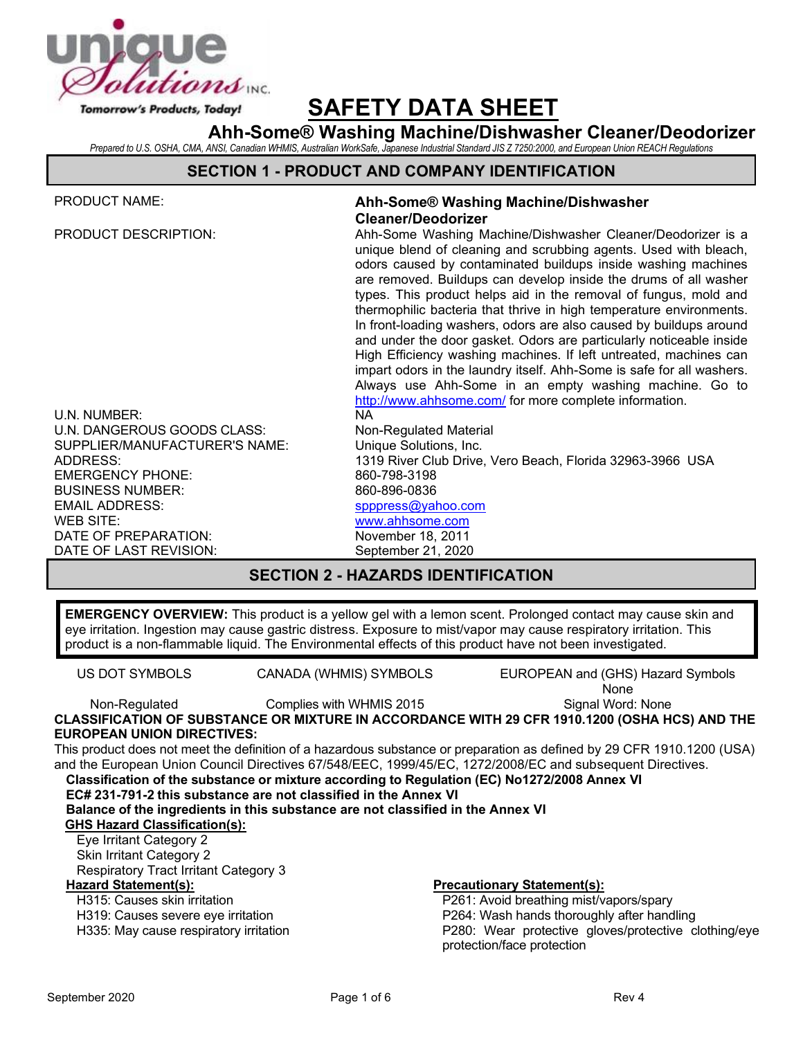

# **SAFETY DATA SHEET**

**Ahh-Some® Washing Machine/Dishwasher Cleaner/Deodorizer** *Prepared to U.S. OSHA, CMA, ANSI, Canadian WHMIS, Australian WorkSafe, Japanese Industrial Standard JIS Z 7250:2000, and European Union REACH Regulations*

### **SECTION 1 - PRODUCT AND COMPANY IDENTIFICATION**

| <b>PRODUCT NAME:</b>                           | Ahh-Some® Washing Machine/Dishwasher<br><b>Cleaner/Deodorizer</b>                                                                                                                                                                                                                                                                                                                                                                                                                                                                                                                                                                                                                                                                                                                                                              |  |  |  |
|------------------------------------------------|--------------------------------------------------------------------------------------------------------------------------------------------------------------------------------------------------------------------------------------------------------------------------------------------------------------------------------------------------------------------------------------------------------------------------------------------------------------------------------------------------------------------------------------------------------------------------------------------------------------------------------------------------------------------------------------------------------------------------------------------------------------------------------------------------------------------------------|--|--|--|
| <b>PRODUCT DESCRIPTION:</b>                    | Ahh-Some Washing Machine/Dishwasher Cleaner/Deodorizer is a<br>unique blend of cleaning and scrubbing agents. Used with bleach,<br>odors caused by contaminated buildups inside washing machines<br>are removed. Buildups can develop inside the drums of all washer<br>types. This product helps aid in the removal of fungus, mold and<br>thermophilic bacteria that thrive in high temperature environments.<br>In front-loading washers, odors are also caused by buildups around<br>and under the door gasket. Odors are particularly noticeable inside<br>High Efficiency washing machines. If left untreated, machines can<br>impart odors in the laundry itself. Ahh-Some is safe for all washers.<br>Always use Ahh-Some in an empty washing machine. Go to<br>http://www.ahhsome.com/ for more complete information. |  |  |  |
| U.N. NUMBER:                                   | <b>NA</b>                                                                                                                                                                                                                                                                                                                                                                                                                                                                                                                                                                                                                                                                                                                                                                                                                      |  |  |  |
| U.N. DANGEROUS GOODS CLASS:                    | Non-Regulated Material                                                                                                                                                                                                                                                                                                                                                                                                                                                                                                                                                                                                                                                                                                                                                                                                         |  |  |  |
| SUPPLIER/MANUFACTURER'S NAME:                  | Unique Solutions, Inc.                                                                                                                                                                                                                                                                                                                                                                                                                                                                                                                                                                                                                                                                                                                                                                                                         |  |  |  |
| ADDRESS:                                       | 1319 River Club Drive, Vero Beach, Florida 32963-3966 USA                                                                                                                                                                                                                                                                                                                                                                                                                                                                                                                                                                                                                                                                                                                                                                      |  |  |  |
| <b>EMERGENCY PHONE:</b>                        | 860-798-3198                                                                                                                                                                                                                                                                                                                                                                                                                                                                                                                                                                                                                                                                                                                                                                                                                   |  |  |  |
| <b>BUSINESS NUMBER:</b>                        | 860-896-0836                                                                                                                                                                                                                                                                                                                                                                                                                                                                                                                                                                                                                                                                                                                                                                                                                   |  |  |  |
| <b>EMAIL ADDRESS:</b>                          | spppress@yahoo.com                                                                                                                                                                                                                                                                                                                                                                                                                                                                                                                                                                                                                                                                                                                                                                                                             |  |  |  |
| WEB SITE:                                      | www.ahhsome.com                                                                                                                                                                                                                                                                                                                                                                                                                                                                                                                                                                                                                                                                                                                                                                                                                |  |  |  |
| DATE OF PREPARATION:<br>DATE OF LAST REVISION: | November 18, 2011                                                                                                                                                                                                                                                                                                                                                                                                                                                                                                                                                                                                                                                                                                                                                                                                              |  |  |  |
|                                                | September 21, 2020                                                                                                                                                                                                                                                                                                                                                                                                                                                                                                                                                                                                                                                                                                                                                                                                             |  |  |  |
| <b>SECTION 2 - HAZARDS IDENTIFICATION</b>      |                                                                                                                                                                                                                                                                                                                                                                                                                                                                                                                                                                                                                                                                                                                                                                                                                                |  |  |  |

**EMERGENCY OVERVIEW:** This product is a yellow gel with a lemon scent. Prolonged contact may cause skin and eye irritation. Ingestion may cause gastric distress. Exposure to mist/vapor may cause respiratory irritation. This product is a non-flammable liquid. The Environmental effects of this product have not been investigated.

US DOT SYMBOLS CANADA (WHMIS) SYMBOLS EUROPEAN and (GHS) Hazard Symbols None

Non-Regulated Complies with WHMIS 2015

Signal Word: None

**CLASSIFICATION OF SUBSTANCE OR MIXTURE IN ACCORDANCE WITH 29 CFR 1910.1200 (OSHA HCS) AND THE EUROPEAN UNION DIRECTIVES:**

This product does not meet the definition of a hazardous substance or preparation as defined by 29 CFR 1910.1200 (USA) and the European Union Council Directives 67/548/EEC, 1999/45/EC, 1272/2008/EC and subsequent Directives.

**Classification of the substance or mixture according to Regulation (EC) No1272/2008 Annex VI**

**EC# 231-791-2 this substance are not classified in the Annex VI**

**Balance of the ingredients in this substance are not classified in the Annex VI** 

# **GHS Hazard Classification(s):**

Eye Irritant Category 2 Skin Irritant Category 2 Respiratory Tract Irritant Category 3

H315: Causes skin irritation

H319: Causes severe eye irritation

H335: May cause respiratory irritation

### **Hazard Statement(s): Precautionary Statement(s):**

P261: Avoid breathing mist/vapors/spary P264: Wash hands thoroughly after handling P280: Wear protective gloves/protective clothing/eye protection/face protection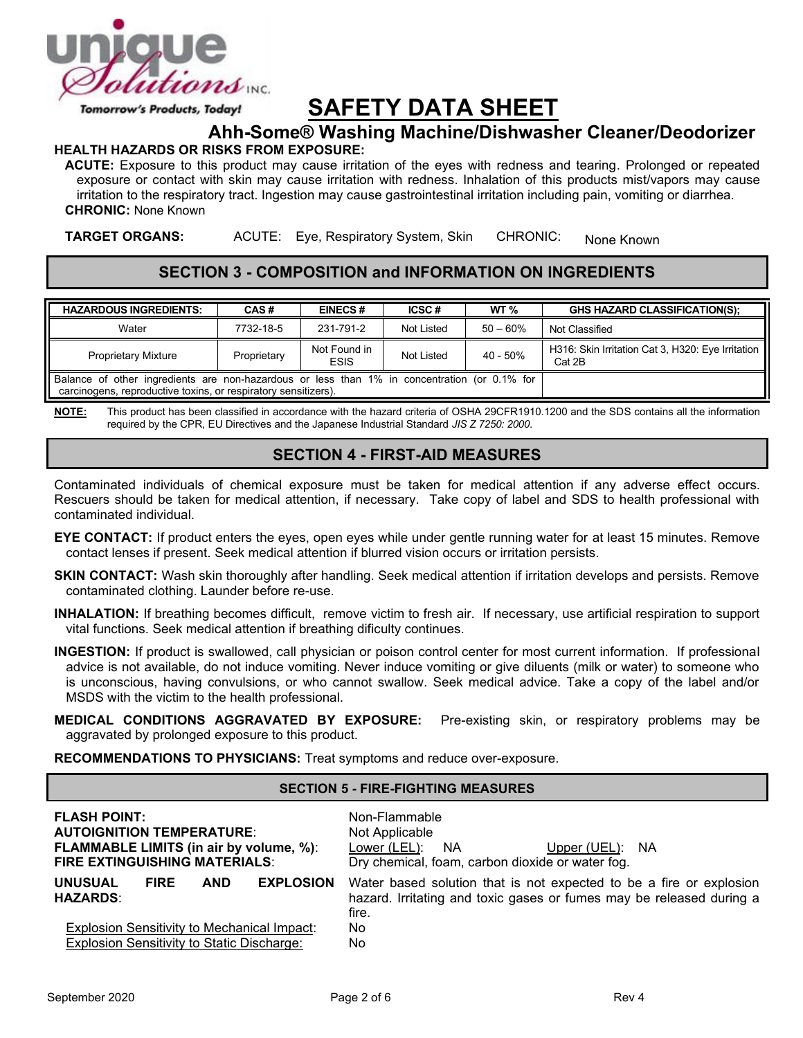

### Tomorrow's Products, Today!

# **SAFETY DATA SHEET**

# **Ahh-Some® Washing Machine/Dishwasher Cleaner/Deodorizer**

#### **HEALTH HAZARDS OR RISKS FROM EXPOSURE:**

**ACUTE:** Exposure to this product may cause irritation of the eyes with redness and tearing. Prolonged or repeated exposure or contact with skin may cause irritation with redness. Inhalation of this products mist/vapors may cause irritation to the respiratory tract. Ingestion may cause gastrointestinal irritation including pain, vomiting or diarrhea. **CHRONIC:** None Known

**TARGET ORGANS:** ACUTE: Eye, Respiratory System, Skin CHRONIC: None Known

### **SECTION 3 - COMPOSITION and INFORMATION ON INGREDIENTS**

| <b>HAZARDOUS INGREDIENTS:</b>                                                                                                                                  | CAS#        | <b>EINECS#</b>              | ICSC#      | WT $\%$     | <b>GHS HAZARD CLASSIFICATION(S):</b>                        |
|----------------------------------------------------------------------------------------------------------------------------------------------------------------|-------------|-----------------------------|------------|-------------|-------------------------------------------------------------|
| Water                                                                                                                                                          | 7732-18-5   | 231-791-2                   | Not Listed | $50 - 60%$  | Not Classified                                              |
| <b>Proprietary Mixture</b>                                                                                                                                     | Proprietary | Not Found in<br><b>ESIS</b> | Not Listed | $40 - 50\%$ | H316: Skin Irritation Cat 3, H320: Eye Irritation<br>Cat 2B |
| Balance of other ingredients are non-hazardous or less than 1% in concentration (or 0.1% for<br>carcinogens, reproductive toxins, or respiratory sensitizers). |             |                             |            |             |                                                             |

**NOTE:** This product has been classified in accordance with the hazard criteria of OSHA 29CFR1910.1200 and the SDS contains all the information required by the CPR, EU Directives and the Japanese Industrial Standard *JIS Z 7250: 2000*.

### **SECTION 4 - FIRST-AID MEASURES**

Contaminated individuals of chemical exposure must be taken for medical attention if any adverse effect occurs. Rescuers should be taken for medical attention, if necessary. Take copy of label and SDS to health professional with contaminated individual.

- **EYE CONTACT:** If product enters the eyes, open eyes while under gentle running water for at least 15 minutes. Remove contact lenses if present. Seek medical attention if blurred vision occurs or irritation persists.
- **SKIN CONTACT:** Wash skin thoroughly after handling. Seek medical attention if irritation develops and persists. Remove contaminated clothing. Launder before re-use.
- **INHALATION:** If breathing becomes difficult, remove victim to fresh air. If necessary, use artificial respiration to support vital functions. Seek medical attention if breathing dificulty continues.
- **INGESTION:** If product is swallowed, call physician or poison control center for most current information. If professional advice is not available, do not induce vomiting. Never induce vomiting or give diluents (milk or water) to someone who is unconscious, having convulsions, or who cannot swallow. Seek medical advice. Take a copy of the label and/or MSDS with the victim to the health professional.
- **MEDICAL CONDITIONS AGGRAVATED BY EXPOSURE:** Pre-existing skin, or respiratory problems may be aggravated by prolonged exposure to this product.

**RECOMMENDATIONS TO PHYSICIANS:** Treat symptoms and reduce over-exposure.

### **SECTION 5 - FIRE-FIGHTING MEASURES**

| <b>FLASH POINT:</b><br><b>AUTOIGNITION TEMPERATURE:</b><br><b>FLAMMABLE LIMITS (in air by volume, %):</b><br><b>FIRE EXTINGUISHING MATERIALS:</b> |             |            |                  | Non-Flammable<br>Not Applicable<br>Lower (LEL):<br><b>NA</b><br><b>NA</b><br>Upper $(UEL)$ :<br>Dry chemical, foam, carbon dioxide or water fog.     |
|---------------------------------------------------------------------------------------------------------------------------------------------------|-------------|------------|------------------|------------------------------------------------------------------------------------------------------------------------------------------------------|
| <b>UNUSUAL</b><br><b>HAZARDS:</b>                                                                                                                 | <b>FIRE</b> | <b>AND</b> | <b>EXPLOSION</b> | Water based solution that is not expected to be a fire or explosion<br>hazard. Irritating and toxic gases or fumes may be released during a<br>fire. |
| <b>Explosion Sensitivity to Mechanical Impact:</b><br>Explosion Sensitivity to Static Discharge:                                                  |             |            |                  | No.<br>No.                                                                                                                                           |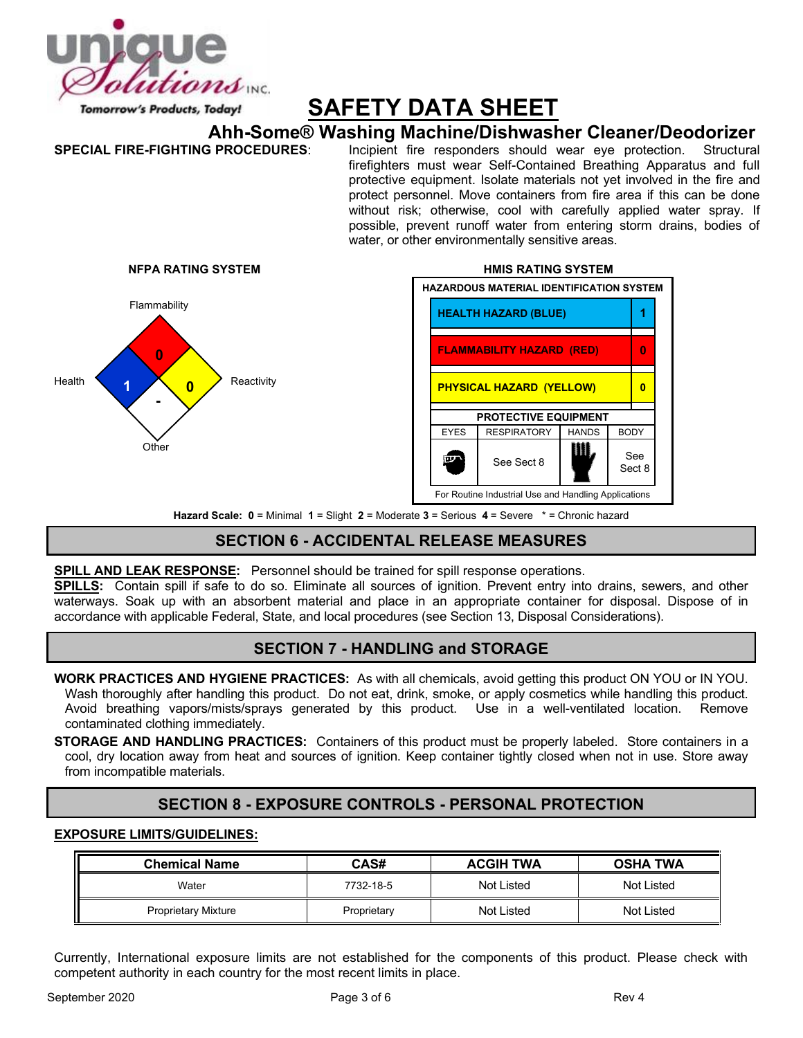

# **SAFETY DATA SHEET**

# **Ahh-Some® Washing Machine/Dishwasher Cleaner/Deodorizer**

**SPECIAL FIRE-FIGHTING PROCEDURES**: Incipient fire responders should wear eye protection. Structural firefighters must wear Self-Contained Breathing Apparatus and full protective equipment. Isolate materials not yet involved in the fire and protect personnel. Move containers from fire area if this can be done without risk; otherwise, cool with carefully applied water spray. If possible, prevent runoff water from entering storm drains, bodies of water, or other environmentally sensitive areas.



# **NFPA RATING SYSTEM HMIS RATING SYSTEM HAZARDOUS MATERIAL IDENTIFICATION SYSTEM** Flammability **Contract of the Contract of the HEALTH HAZARD (BLUE) FLAMMABILITY HAZARD (RED) 0 PROTECTIVE EQUIPMENT** EYES RESPIRATORY HANDS BODY  $\frac{1}{\sqrt{2}}$  See Sect 8  $\frac{1}{\sqrt{2}}$  See **FOUR** Sect 8 For Routine Industrial Use and Handling Applications

**Hazard Scale: 0** = Minimal **1** = Slight **2** = Moderate **3** = Serious **4** = Severe \* = Chronic hazard

## **SECTION 6 - ACCIDENTAL RELEASE MEASURES**

### **SPILL AND LEAK RESPONSE:** Personnel should be trained for spill response operations.

**SPILLS:** Contain spill if safe to do so. Eliminate all sources of ignition. Prevent entry into drains, sewers, and other waterways. Soak up with an absorbent material and place in an appropriate container for disposal. Dispose of in accordance with applicable Federal, State, and local procedures (see Section 13, Disposal Considerations).

### **SECTION 7 - HANDLING and STORAGE**

**WORK PRACTICES AND HYGIENE PRACTICES:** As with all chemicals, avoid getting this product ON YOU or IN YOU. Wash thoroughly after handling this product. Do not eat, drink, smoke, or apply cosmetics while handling this product. Avoid breathing vapors/mists/sprays generated by this product. Use in a well-ventilated location. Remove contaminated clothing immediately.

**STORAGE AND HANDLING PRACTICES:** Containers of this product must be properly labeled. Store containers in a cool, dry location away from heat and sources of ignition. Keep container tightly closed when not in use. Store away from incompatible materials.

## **SECTION 8 - EXPOSURE CONTROLS - PERSONAL PROTECTION**

### **EXPOSURE LIMITS/GUIDELINES:**

| <b>Chemical Name</b>       | CAS#        | <b>ACGIH TWA</b> | <b>OSHA TWA</b> |  |
|----------------------------|-------------|------------------|-----------------|--|
| Water                      | 7732-18-5   | Not Listed       | Not Listed      |  |
| <b>Proprietary Mixture</b> | Proprietary | Not Listed       | Not Listed      |  |

Currently, International exposure limits are not established for the components of this product. Please check with competent authority in each country for the most recent limits in place.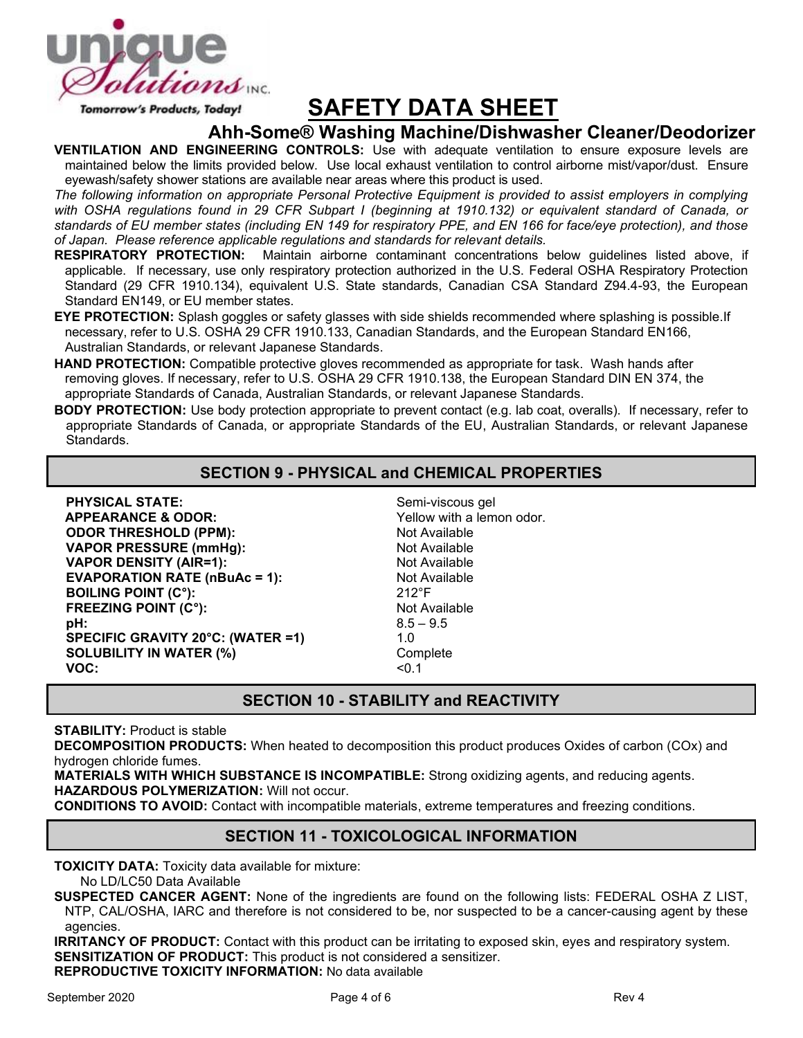

Tomorrow's Products, Today!

# **SAFETY DATA SHEET**

### **Ahh-Some® Washing Machine/Dishwasher Cleaner/Deodorizer**

**VENTILATION AND ENGINEERING CONTROLS:** Use with adequate ventilation to ensure exposure levels are maintained below the limits provided below. Use local exhaust ventilation to control airborne mist/vapor/dust. Ensure eyewash/safety shower stations are available near areas where this product is used.

*The following information on appropriate Personal Protective Equipment is provided to assist employers in complying*  with OSHA regulations found in 29 CFR Subpart I (beginning at 1910.132) or equivalent standard of Canada, or *standards of EU member states (including EN 149 for respiratory PPE, and EN 166 for face/eye protection), and those of Japan. Please reference applicable regulations and standards for relevant details.*

- **RESPIRATORY PROTECTION:** Maintain airborne contaminant concentrations below guidelines listed above, if applicable. If necessary, use only respiratory protection authorized in the U.S. Federal OSHA Respiratory Protection Standard (29 CFR 1910.134), equivalent U.S. State standards, Canadian CSA Standard Z94.4-93, the European Standard EN149, or EU member states.
- **EYE PROTECTION:** Splash goggles or safety glasses with side shields recommended where splashing is possible.If necessary, refer to U.S. OSHA 29 CFR 1910.133, Canadian Standards, and the European Standard EN166, Australian Standards, or relevant Japanese Standards.
- **HAND PROTECTION:** Compatible protective gloves recommended as appropriate for task. Wash hands after removing gloves. If necessary, refer to U.S. OSHA 29 CFR 1910.138, the European Standard DIN EN 374, the appropriate Standards of Canada, Australian Standards, or relevant Japanese Standards.
- **BODY PROTECTION:** Use body protection appropriate to prevent contact (e.g. lab coat, overalls). If necessary, refer to appropriate Standards of Canada, or appropriate Standards of the EU, Australian Standards, or relevant Japanese Standards.

### **SECTION 9 - PHYSICAL and CHEMICAL PROPERTIES**

| Semi-vi         |
|-----------------|
| Yellow          |
| Not Ava         |
| Not Ava         |
| Not Ava         |
| Not Ava         |
| $212^{\circ}$ F |
| Not Ava         |
| $8.5 - 9.$      |
| 1.0             |
| Comple          |
| < 0.1           |
|                 |

Semi-viscous gel Yellow with a lemon odor. **Not Available Not Available Not Available Not Available Not Available**  $8.5 - 9.5$ **Complete** 

### **SECTION 10 - STABILITY and REACTIVITY**

**STABILITY:** Product is stable

**DECOMPOSITION PRODUCTS:** When heated to decomposition this product produces Oxides of carbon (COx) and hydrogen chloride fumes.

**MATERIALS WITH WHICH SUBSTANCE IS INCOMPATIBLE:** Strong oxidizing agents, and reducing agents. **HAZARDOUS POLYMERIZATION:** Will not occur.

**CONDITIONS TO AVOID:** Contact with incompatible materials, extreme temperatures and freezing conditions.

### **SECTION 11 - TOXICOLOGICAL INFORMATION**

**TOXICITY DATA:** Toxicity data available for mixture:

No LD/LC50 Data Available

**SUSPECTED CANCER AGENT:** None of the ingredients are found on the following lists: FEDERAL OSHA Z LIST, NTP, CAL/OSHA, IARC and therefore is not considered to be, nor suspected to be a cancer-causing agent by these agencies.

**IRRITANCY OF PRODUCT:** Contact with this product can be irritating to exposed skin, eyes and respiratory system. **SENSITIZATION OF PRODUCT:** This product is not considered a sensitizer. **REPRODUCTIVE TOXICITY INFORMATION:** No data available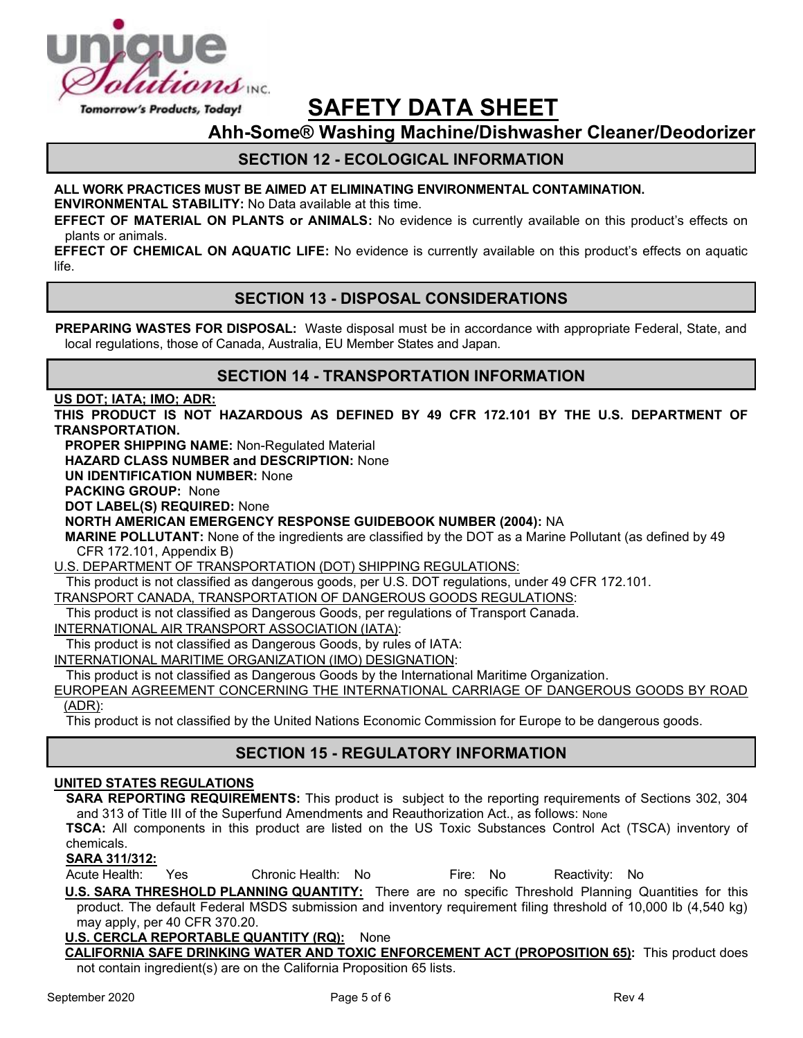

# **SAFETY DATA SHEET**

**Ahh-Some® Washing Machine/Dishwasher Cleaner/Deodorizer**

## **SECTION 12 - ECOLOGICAL INFORMATION**

### **ALL WORK PRACTICES MUST BE AIMED AT ELIMINATING ENVIRONMENTAL CONTAMINATION.**

**ENVIRONMENTAL STABILITY:** No Data available at this time.

**EFFECT OF MATERIAL ON PLANTS or ANIMALS:** No evidence is currently available on this product's effects on plants or animals.

**EFFECT OF CHEMICAL ON AQUATIC LIFE:** No evidence is currently available on this product's effects on aquatic life.

### **SECTION 13 - DISPOSAL CONSIDERATIONS**

**PREPARING WASTES FOR DISPOSAL:** Waste disposal must be in accordance with appropriate Federal, State, and local regulations, those of Canada, Australia, EU Member States and Japan.

### **SECTION 14 - TRANSPORTATION INFORMATION**

**US DOT; IATA; IMO; ADR:**

**THIS PRODUCT IS NOT HAZARDOUS AS DEFINED BY 49 CFR 172.101 BY THE U.S. DEPARTMENT OF TRANSPORTATION.**

**PROPER SHIPPING NAME:** Non-Regulated Material

**HAZARD CLASS NUMBER and DESCRIPTION:** None

**UN IDENTIFICATION NUMBER:** None

**PACKING GROUP:** None

**DOT LABEL(S) REQUIRED:** None

**NORTH AMERICAN EMERGENCY RESPONSE GUIDEBOOK NUMBER (2004):** NA

**MARINE POLLUTANT:** None of the ingredients are classified by the DOT as a Marine Pollutant (as defined by 49 CFR 172.101, Appendix B)

U.S. DEPARTMENT OF TRANSPORTATION (DOT) SHIPPING REGULATIONS:

This product is not classified as dangerous goods, per U.S. DOT regulations, under 49 CFR 172.101.

TRANSPORT CANADA, TRANSPORTATION OF DANGEROUS GOODS REGULATIONS:

This product is not classified as Dangerous Goods, per regulations of Transport Canada.

INTERNATIONAL AIR TRANSPORT ASSOCIATION (IATA):

This product is not classified as Dangerous Goods, by rules of IATA:

INTERNATIONAL MARITIME ORGANIZATION (IMO) DESIGNATION:

This product is not classified as Dangerous Goods by the International Maritime Organization.

EUROPEAN AGREEMENT CONCERNING THE INTERNATIONAL CARRIAGE OF DANGEROUS GOODS BY ROAD (ADR):

This product is not classified by the United Nations Economic Commission for Europe to be dangerous goods.

### **SECTION 15 - REGULATORY INFORMATION**

### **UNITED STATES REGULATIONS**

**SARA REPORTING REQUIREMENTS:** This product is subject to the reporting requirements of Sections 302, 304 and 313 of Title III of the Superfund Amendments and Reauthorization Act., as follows: None

**TSCA:** All components in this product are listed on the US Toxic Substances Control Act (TSCA) inventory of chemicals.

### **SARA 311/312:**

Acute Health: Yes Chronic Health: No Fire: No Reactivity: No

**U.S. SARA THRESHOLD PLANNING QUANTITY:** There are no specific Threshold Planning Quantities for this product. The default Federal MSDS submission and inventory requirement filing threshold of 10,000 lb (4,540 kg) may apply, per 40 CFR 370.20.

**U.S. CERCLA REPORTABLE QUANTITY (RQ):** None

**CALIFORNIA SAFE DRINKING WATER AND TOXIC ENFORCEMENT ACT (PROPOSITION 65):** This product does not contain ingredient(s) are on the California Proposition 65 lists.